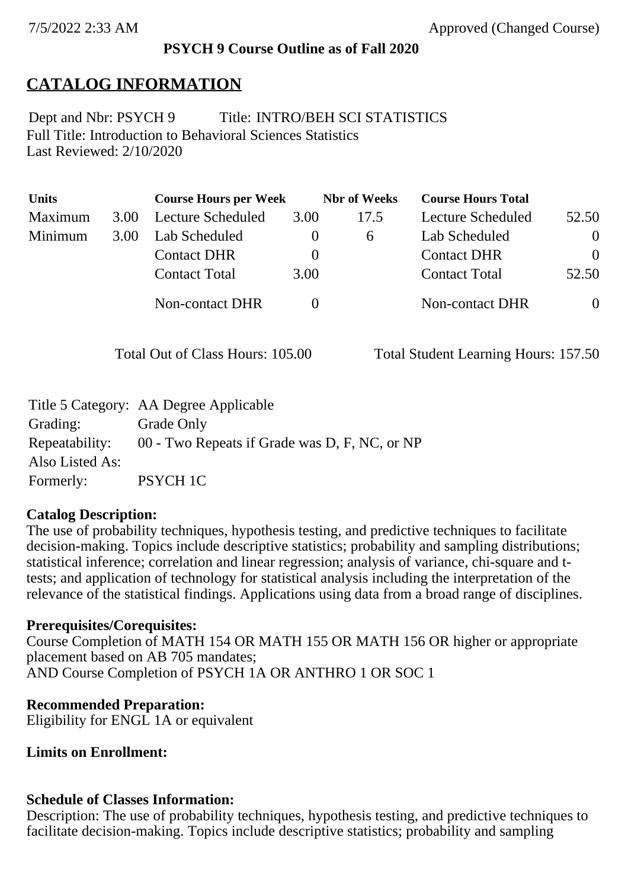#### **PSYCH 9 Course Outline as of Fall 2020**

## **CATALOG INFORMATION**

Full Title: Introduction to Behavioral Sciences Statistics Last Reviewed: 2/10/2020 Dept and Nbr: PSYCH 9 Title: INTRO/BEH SCI STATISTICS

| <b>Units</b> |      | <b>Course Hours per Week</b> |      | <b>Nbr</b> of Weeks | <b>Course Hours Total</b> |          |
|--------------|------|------------------------------|------|---------------------|---------------------------|----------|
| Maximum      | 3.00 | Lecture Scheduled            | 3.00 | 17.5                | Lecture Scheduled         | 52.50    |
| Minimum      | 3.00 | Lab Scheduled                |      | $\mathsf{\Omega}$   | Lab Scheduled             | $\theta$ |
|              |      | <b>Contact DHR</b>           |      |                     | <b>Contact DHR</b>        | $\Omega$ |
|              |      | <b>Contact Total</b>         | 3.00 |                     | <b>Contact Total</b>      | 52.50    |
|              |      | Non-contact DHR              |      |                     | <b>Non-contact DHR</b>    | $\theta$ |

Total Out of Class Hours: 105.00 Total Student Learning Hours: 157.50

|                 | Title 5 Category: AA Degree Applicable        |
|-----------------|-----------------------------------------------|
| Grading:        | Grade Only                                    |
| Repeatability:  | 00 - Two Repeats if Grade was D, F, NC, or NP |
| Also Listed As: |                                               |
| Formerly:       | <b>PSYCH 1C</b>                               |

#### **Catalog Description:**

The use of probability techniques, hypothesis testing, and predictive techniques to facilitate decision-making. Topics include descriptive statistics; probability and sampling distributions; statistical inference; correlation and linear regression; analysis of variance, chi-square and ttests; and application of technology for statistical analysis including the interpretation of the relevance of the statistical findings. Applications using data from a broad range of disciplines.

#### **Prerequisites/Corequisites:**

Course Completion of MATH 154 OR MATH 155 OR MATH 156 OR higher or appropriate placement based on AB 705 mandates; AND Course Completion of PSYCH 1A OR ANTHRO 1 OR SOC 1

#### **Recommended Preparation:**

Eligibility for ENGL 1A or equivalent

#### **Limits on Enrollment:**

#### **Schedule of Classes Information:**

Description: The use of probability techniques, hypothesis testing, and predictive techniques to facilitate decision-making. Topics include descriptive statistics; probability and sampling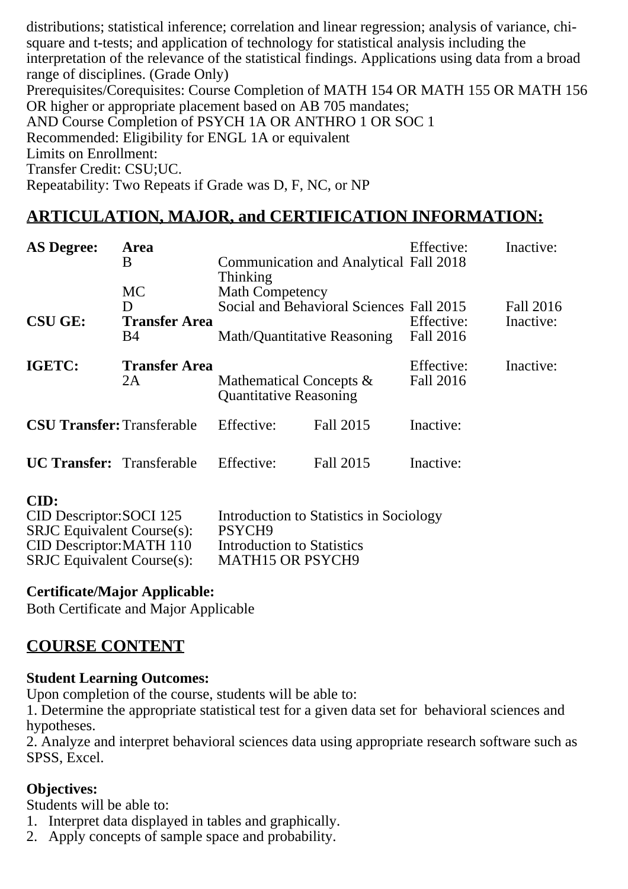distributions; statistical inference; correlation and linear regression; analysis of variance, chisquare and t-tests; and application of technology for statistical analysis including the interpretation of the relevance of the statistical findings. Applications using data from a broad range of disciplines. (Grade Only) Prerequisites/Corequisites: Course Completion of MATH 154 OR MATH 155 OR MATH 156 OR higher or appropriate placement based on AB 705 mandates; AND Course Completion of PSYCH 1A OR ANTHRO 1 OR SOC 1 Recommended: Eligibility for ENGL 1A or equivalent Limits on Enrollment: Transfer Credit: CSU;UC. Repeatability: Two Repeats if Grade was D, F, NC, or NP

# **ARTICULATION, MAJOR, and CERTIFICATION INFORMATION:**

| <b>AS Degree:</b>                 | Area<br>B<br><b>MC</b>          | Thinking<br><b>Math Competency</b>                                      | <b>Communication and Analytical Fall 2018</b> | Effective:                     | Inactive:              |
|-----------------------------------|---------------------------------|-------------------------------------------------------------------------|-----------------------------------------------|--------------------------------|------------------------|
| <b>CSU GE:</b>                    | D<br><b>Transfer Area</b><br>B4 | Social and Behavioral Sciences Fall 2015<br>Math/Quantitative Reasoning |                                               | Effective:<br><b>Fall 2016</b> | Fall 2016<br>Inactive: |
| IGETC:                            | <b>Transfer Area</b><br>2A      | Mathematical Concepts &<br><b>Quantitative Reasoning</b>                |                                               | Effective:<br>Fall 2016        | Inactive:              |
| <b>CSU Transfer: Transferable</b> |                                 | Effective:                                                              | Fall 2015                                     | Inactive:                      |                        |
| <b>UC Transfer:</b> Transferable  |                                 | Effective:                                                              | Fall 2015                                     | Inactive:                      |                        |
| CD.                               |                                 |                                                                         |                                               |                                |                        |

| r 1 |  |
|-----|--|
|     |  |

| CID Descriptor: SOCI 125          | Introduction to Statistics in Sociology |
|-----------------------------------|-----------------------------------------|
| <b>SRJC</b> Equivalent Course(s): | PSYCH <sub>9</sub>                      |
| CID Descriptor: MATH 110          | Introduction to Statistics              |
| <b>SRJC</b> Equivalent Course(s): | <b>MATH15 OR PSYCH9</b>                 |

### **Certificate/Major Applicable:**

[Both Certificate and Major Applicable](SR_ClassCheck.aspx?CourseKey=PSYCH9)

## **COURSE CONTENT**

### **Student Learning Outcomes:**

Upon completion of the course, students will be able to:

1. Determine the appropriate statistical test for a given data set for behavioral sciences and hypotheses.

2. Analyze and interpret behavioral sciences data using appropriate research software such as SPSS, Excel.

### **Objectives:**

Students will be able to:

- 1. Interpret data displayed in tables and graphically.
- 2. Apply concepts of sample space and probability.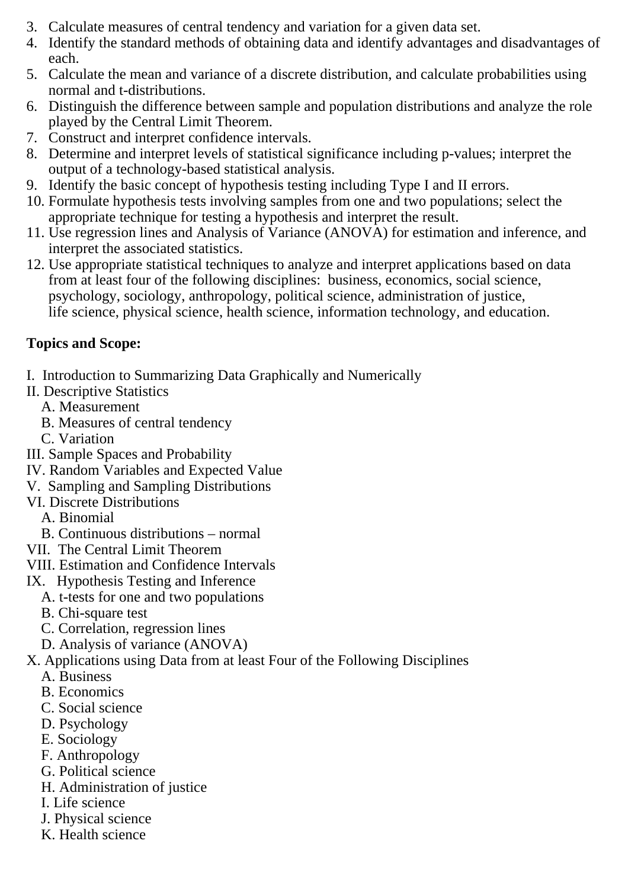- 3. Calculate measures of central tendency and variation for a given data set.
- 4. Identify the standard methods of obtaining data and identify advantages and disadvantages of each.
- 5. Calculate the mean and variance of a discrete distribution, and calculate probabilities using normal and t-distributions.
- 6. Distinguish the difference between sample and population distributions and analyze the role played by the Central Limit Theorem.
- 7. Construct and interpret confidence intervals.
- 8. Determine and interpret levels of statistical significance including p-values; interpret the output of a technology-based statistical analysis.
- 9. Identify the basic concept of hypothesis testing including Type I and II errors.
- 10. Formulate hypothesis tests involving samples from one and two populations; select the appropriate technique for testing a hypothesis and interpret the result.
- 11. Use regression lines and Analysis of Variance (ANOVA) for estimation and inference, and interpret the associated statistics.
- 12. Use appropriate statistical techniques to analyze and interpret applications based on data from at least four of the following disciplines: business, economics, social science, psychology, sociology, anthropology, political science, administration of justice, life science, physical science, health science, information technology, and education.

## **Topics and Scope:**

- I. Introduction to Summarizing Data Graphically and Numerically
- II. Descriptive Statistics
	- A. Measurement
	- B. Measures of central tendency
	- C. Variation
- III. Sample Spaces and Probability
- IV. Random Variables and Expected Value
- V. Sampling and Sampling Distributions
- VI. Discrete Distributions
	- A. Binomial
	- B. Continuous distributions normal
- VII. The Central Limit Theorem
- VIII. Estimation and Confidence Intervals
- IX. Hypothesis Testing and Inference
	- A. t-tests for one and two populations
	- B. Chi-square test
	- C. Correlation, regression lines
	- D. Analysis of variance (ANOVA)
- X. Applications using Data from at least Four of the Following Disciplines
	- A. Business
	- B. Economics
	- C. Social science
	- D. Psychology
	- E. Sociology
	- F. Anthropology
	- G. Political science
	- H. Administration of justice
	- I. Life science
	- J. Physical science
	- K. Health science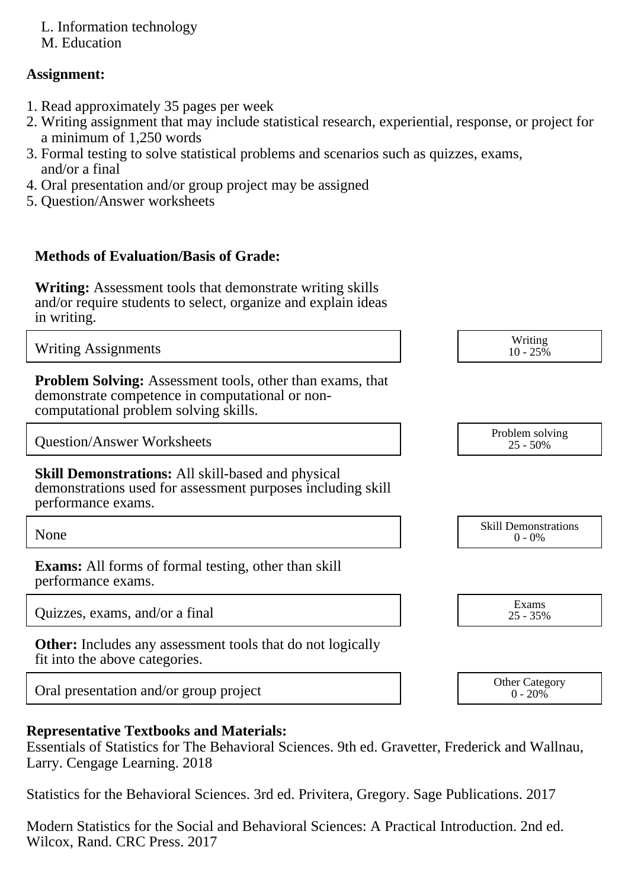L. Information technology

M. Education

### **Assignment:**

- 1. Read approximately 35 pages per week
- 2. Writing assignment that may include statistical research, experiential, response, or project for a minimum of 1,250 words
- 3. Formal testing to solve statistical problems and scenarios such as quizzes, exams, and/or a final
- 4. Oral presentation and/or group project may be assigned
- 5. Question/Answer worksheets

### **Methods of Evaluation/Basis of Grade:**

**Writing:** Assessment tools that demonstrate writing skills and/or require students to select, organize and explain ideas in writing.

Writing Assignments Writing Assignments and the United States of the United States of the United States of the United States of the United States of the United States of the United States of the United States of the United  $10 - 25\%$ **Problem Solving:** Assessment tools, other than exams, that demonstrate competence in computational or noncomputational problem solving skills. Question/Answer Worksheets Problem solving Problem solving 25 - 50% **Skill Demonstrations:** All skill-based and physical demonstrations used for assessment purposes including skill performance exams. None Skill Demonstrations<br>  $\begin{array}{c} \text{Skill,} \\ 0 \text{ - } 0\% \end{array}$  $0 - 0\%$ **Exams:** All forms of formal testing, other than skill performance exams.

Quizzes, exams, and/or a final  $\overline{25}$ ,  $\overline{35\%}$ 

**Other:** Includes any assessment tools that do not logically fit into the above categories.

Oral presentation and/or group project <br>
Other Category<br>
Oral presentation and/or group project<br>
Oral presentation and/or group project

### **Representative Textbooks and Materials:**

Essentials of Statistics for The Behavioral Sciences. 9th ed. Gravetter, Frederick and Wallnau, Larry. Cengage Learning. 2018

Statistics for the Behavioral Sciences. 3rd ed. Privitera, Gregory. Sage Publications. 2017

Modern Statistics for the Social and Behavioral Sciences: A Practical Introduction. 2nd ed. Wilcox, Rand. CRC Press. 2017

25 - 35%

 $0 - 20\%$